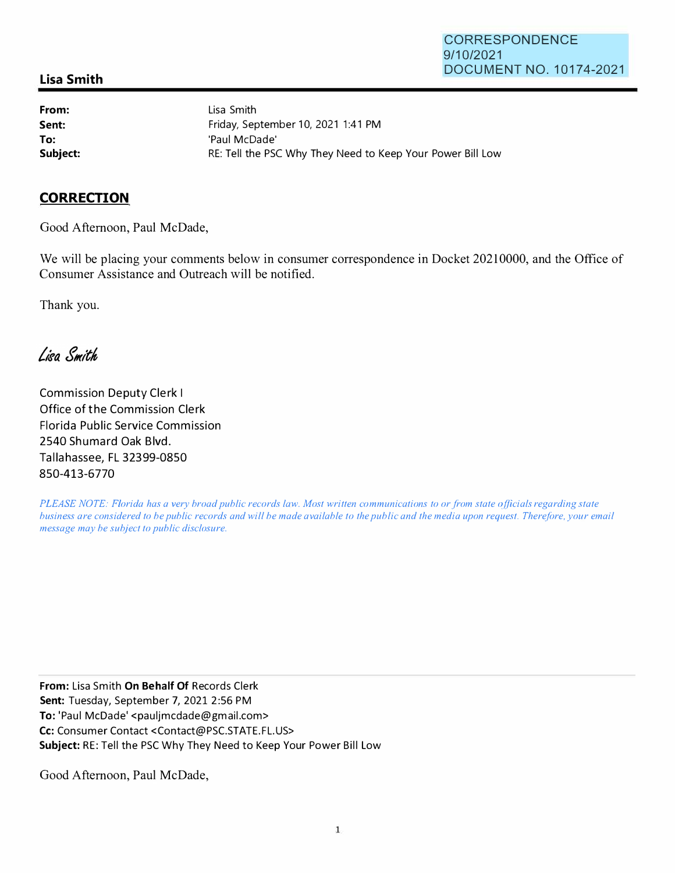## **Lisa Smith**

**From: Sent: To:** 

Lisa Smith Friday, September 10, 2021 1:41 PM 'Paul McDade' **Subject: RE: Tell the PSC Why They Need to Keep Your Power Bill Low** 

## **CORRECTION**

Good Afternoon, Paul McDade,

We will be placing your comments below in consumer correspondence in Docket 20210000, and the Office of Consumer Assistance and Outreach will be notified.

Thank you.

Lisa Smith

Commission Deputy Clerk I Office of the Commission Clerk Florida Public Service Commission 2540 Shumard Oak Blvd. Tallahassee, FL 32399-0850 **850-413-6770**

*PLEASE NOTE: Florida has a very broad public records law. Most written communications to or from state officials regarding state business are considered to be public records and will be made available to the public and the media upon request. Therefore, your email message may be subject to public disclosure.* 

**From:** Lisa Smith **On Behalf Of** Records Clerk **Sent:** Tuesday, September 7, 2021 2:56 PM **To:** 'Paul McDade' <pauljmcdade@gmail.com> Cc: Consumer Contact <Contact@PSC.STATE.FL.US> **Subject:** RE: Tell the PSC Why They Need to Keep Your Power Bill Low

Good Afternoon, Paul McDade,